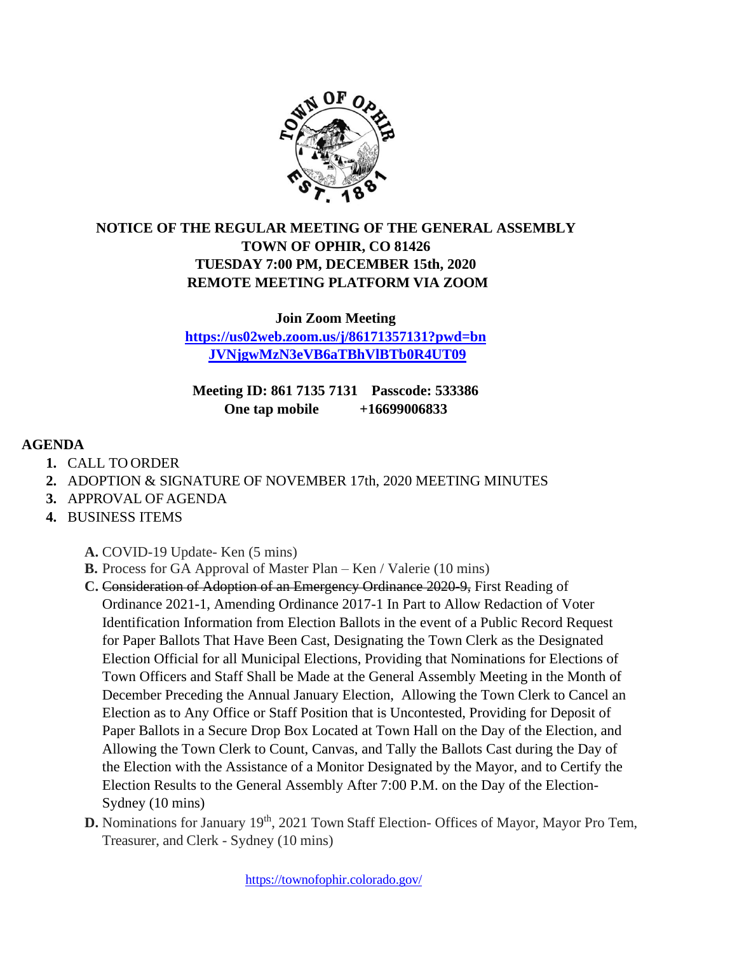

## **NOTICE OF THE REGULAR MEETING OF THE GENERAL ASSEMBLY TOWN OF OPHIR, CO 81426 TUESDAY 7:00 PM, DECEMBER 15th, 2020 REMOTE MEETING PLATFORM VIA ZOOM**

**Join Zoom Meeting [https://us02web.zoom.us/j/86171357131?pwd=bn](https://us02web.zoom.us/j/86171357131?pwd=bnJVNjgwMzN3eVB6aTBhVlBTb0R4UT09)**

**[JVNjgwMzN3eVB6aTBhVlBTb0R4UT09](https://us02web.zoom.us/j/86171357131?pwd=bnJVNjgwMzN3eVB6aTBhVlBTb0R4UT09)**

**Meeting ID: 861 7135 7131 Passcode: 533386 One tap mobile +16699006833**

## **AGENDA**

- **1.** CALL TO ORDER
- **2.** ADOPTION & SIGNATURE OF NOVEMBER 17th, 2020 MEETING MINUTES
- **3.** APPROVAL OF AGENDA
- **4.** BUSINESS ITEMS

**A.** COVID-19 Update- Ken (5 mins)

- **B.** Process for GA Approval of Master Plan Ken / Valerie (10 mins)
- **C.** Consideration of Adoption of an Emergency Ordinance 2020-9, First Reading of Ordinance 2021-1, Amending Ordinance 2017-1 In Part to Allow Redaction of Voter Identification Information from Election Ballots in the event of a Public Record Request for Paper Ballots That Have Been Cast, Designating the Town Clerk as the Designated Election Official for all Municipal Elections, Providing that Nominations for Elections of Town Officers and Staff Shall be Made at the General Assembly Meeting in the Month of December Preceding the Annual January Election, Allowing the Town Clerk to Cancel an Election as to Any Office or Staff Position that is Uncontested, Providing for Deposit of Paper Ballots in a Secure Drop Box Located at Town Hall on the Day of the Election, and Allowing the Town Clerk to Count, Canvas, and Tally the Ballots Cast during the Day of the Election with the Assistance of a Monitor Designated by the Mayor, and to Certify the Election Results to the General Assembly After 7:00 P.M. on the Day of the Election-Sydney (10 mins)
- **D.** Nominations for January 19<sup>th</sup>, 2021 Town Staff Election- Offices of Mayor, Mayor Pro Tem, Treasurer, and Clerk - Sydney (10 mins)